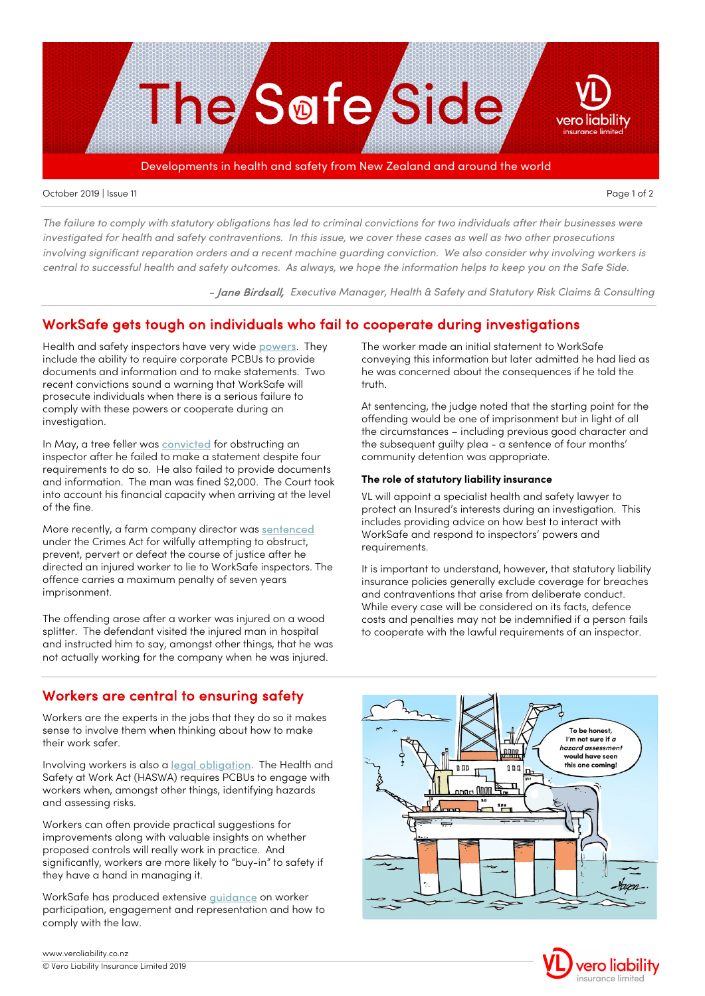

#### October 2019 | Issue 11 Page 1 of 2

*The failure to comply with statutory obligations has led to criminal convictions for two individuals after their businesses were investigated for health and safety contraventions. In this issue, we cover these cases as well as two other prosecutions*  involving significant reparation orders and a recent machine guarding conviction. We also consider why involving workers is *central to successful health and safety outcomes. As always, we hope the information helps to keep you on the Safe Side.*

- Jane Birdsall, *Executive Manager, Health & Safety and Statutory Risk Claims & Consulting*

### WorkSafe gets tough on individuals who fail to cooperate during investigations

Health and safety inspectors have very wid[e powers.](http://legislation.govt.nz/act/public/2015/0070/latest/DLM5977151.html) They include the ability to require corporate PCBUs to provide documents and information and to make statements. Two recent convictions sound a warning that WorkSafe will prosecute individuals when there is a serious failure to comply with these powers or cooperate during an investigation.

In May, a tree feller wa[s convicted](https://worksafe.govt.nz/about-us/news-and-media/wellington-man-fined-for-obstructing-worksafe-investigation/) for obstructing an inspector after he failed to make a statement despite four requirements to do so. He also failed to provide documents and information. The man was fined \$2,000. The Court took into account his financial capacity when arriving at the level of the fine.

More recently, a farm company director was [sentenced](https://worksafe.govt.nz/about-us/news-and-media/farm-company-director-sentenced-for-perverting-the-course-of-justice/) under the Crimes Act for wilfully attempting to obstruct, prevent, pervert or defeat the course of justice after he directed an injured worker to lie to WorkSafe inspectors. The offence carries a maximum penalty of seven years imprisonment.

The offending arose after a worker was injured on a wood splitter. The defendant visited the injured man in hospital and instructed him to say, amongst other things, that he was not actually working for the company when he was injured.

### Workers are central to ensuring safety

Workers are the experts in the jobs that they do so it makes sense to involve them when thinking about how to make their work safer.

Involving workers is also a **legal obligation**. The Health and Safety at Work Act (HASWA) requires PCBUs to engage with workers when, amongst other things, identifying hazards and assessing risks.

Workers can often provide practical suggestions for improvements along with valuable insights on whether proposed controls will really work in practice. And significantly, workers are more likely to "buy-in" to safety if they have a hand in managing it.

WorkSafe has produced extensive [guidance](https://worksafe.govt.nz/managing-health-and-safety/businesses/worker-engagement-and-participation/good-practice-for-worker-engagement-participation-and-representation/) on worker participation, engagement and representation and how to comply with the law.

The worker made an initial statement to WorkSafe conveying this information but later admitted he had lied as he was concerned about the consequences if he told the truth.

At sentencing, the judge noted that the starting point for the offending would be one of imprisonment but in light of all the circumstances – including previous good character and the subsequent guilty plea - a sentence of four months' community detention was appropriate.

### **The role of statutory liability insurance**

VL will appoint a specialist health and safety lawyer to protect an Insured's interests during an investigation. This includes providing advice on how best to interact with WorkSafe and respond to inspectors' powers and requirements.

It is important to understand, however, that statutory liability insurance policies generally exclude coverage for breaches and contraventions that arise from deliberate conduct. While every case will be considered on its facts, defence costs and penalties may not be indemnified if a person fails to cooperate with the lawful requirements of an inspector.